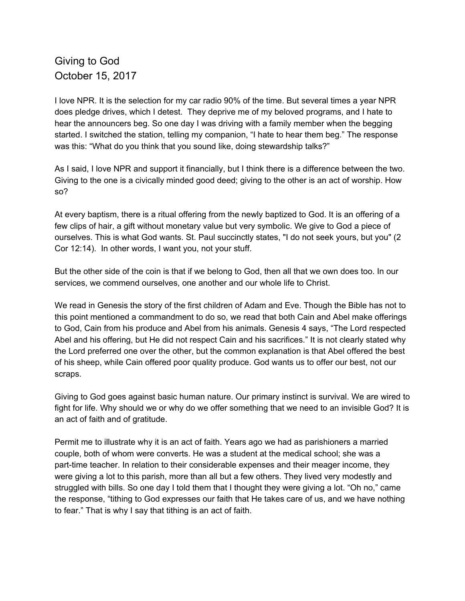## Giving to God October 15, 2017

I love NPR. It is the selection for my car radio 90% of the time. But several times a year NPR does pledge drives, which I detest. They deprive me of my beloved programs, and I hate to hear the announcers beg. So one day I was driving with a family member when the begging started. I switched the station, telling my companion, "I hate to hear them beg." The response was this: "What do you think that you sound like, doing stewardship talks?"

As I said, I love NPR and support it financially, but I think there is a difference between the two. Giving to the one is a civically minded good deed; giving to the other is an act of worship. How so?

At every baptism, there is a ritual offering from the newly baptized to God. It is an offering of a few clips of hair, a gift without monetary value but very symbolic. We give to God a piece of ourselves. This is what God wants. St. Paul succinctly states, "I do not seek yours, but you" (2 Cor 12:14). In other words, I want you, not your stuff.

But the other side of the coin is that if we belong to God, then all that we own does too. In our services, we commend ourselves, one another and our whole life to Christ.

We read in Genesis the story of the first children of Adam and Eve. Though the Bible has not to this point mentioned a commandment to do so, we read that both Cain and Abel make offerings to God, Cain from his produce and Abel from his animals. Genesis 4 says, "The Lord respected Abel and his offering, but He did not respect Cain and his sacrifices." It is not clearly stated why the Lord preferred one over the other, but the common explanation is that Abel offered the best of his sheep, while Cain offered poor quality produce. God wants us to offer our best, not our scraps.

Giving to God goes against basic human nature. Our primary instinct is survival. We are wired to fight for life. Why should we or why do we offer something that we need to an invisible God? It is an act of faith and of gratitude.

Permit me to illustrate why it is an act of faith. Years ago we had as parishioners a married couple, both of whom were converts. He was a student at the medical school; she was a part-time teacher. In relation to their considerable expenses and their meager income, they were giving a lot to this parish, more than all but a few others. They lived very modestly and struggled with bills. So one day I told them that I thought they were giving a lot. "Oh no," came the response, "tithing to God expresses our faith that He takes care of us, and we have nothing to fear." That is why I say that tithing is an act of faith.